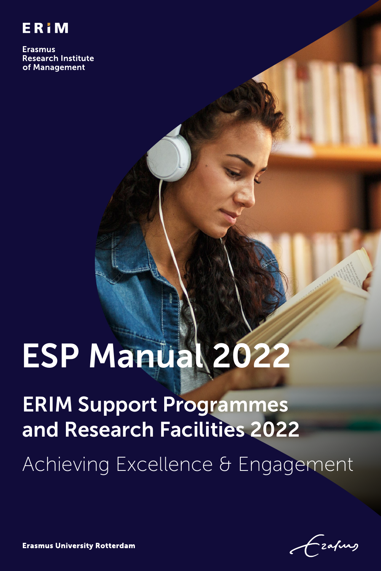

**Erasmus Research Institute** of Management

# ESP Manual 2022

# ERIM Support Programmes and Research Facilities 2022 Achieving Excellence & Engagement

Erim Support Programmes and Research Facilities 2022 - ESP Manual 1 ERIM Support Programmes and Research Facilities 2022 - ESP Manual 1 ERIM Support Programmes and Research Facilities 2022 - ESP Manual 1 ERIM Manual 1 ERI

**Erasmus University Rotterdam**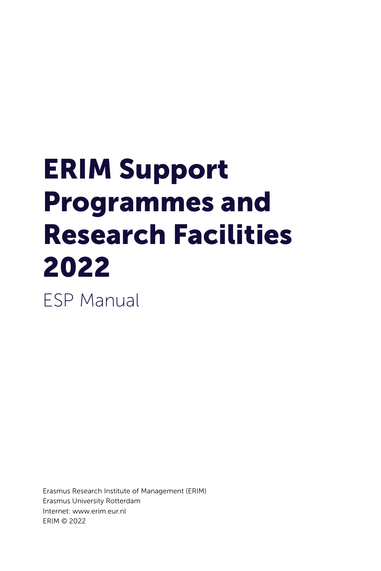# ERIM Support Programmes and Research Facilities 2022

ESP Manual

Erasmus Research Institute of Management (ERIM) Erasmus University Rotterdam Internet: [www.erim.eur.nl](http://www.erim.eur.nl) ERIM © 2022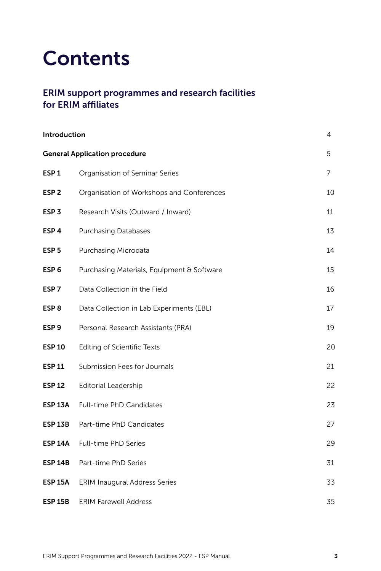### **Contents**

#### ERIM support programmes and research facilities for ERIM affiliates

| Introduction<br>4                         |                                            |    |  |  |
|-------------------------------------------|--------------------------------------------|----|--|--|
| 5<br><b>General Application procedure</b> |                                            |    |  |  |
| ESP <sub>1</sub>                          | Organisation of Seminar Series             | 7  |  |  |
| ESP <sub>2</sub>                          | Organisation of Workshops and Conferences  | 10 |  |  |
| ESP <sub>3</sub>                          | Research Visits (Outward / Inward)         | 11 |  |  |
| ESP <sub>4</sub>                          | <b>Purchasing Databases</b>                | 13 |  |  |
| ESP 5                                     | Purchasing Microdata                       | 14 |  |  |
| ESP <sub>6</sub>                          | Purchasing Materials, Equipment & Software | 15 |  |  |
| ESP <sub>7</sub>                          | Data Collection in the Field               | 16 |  |  |
| ESP <sub>8</sub>                          | Data Collection in Lab Experiments (EBL)   | 17 |  |  |
| ESP <sub>9</sub>                          | Personal Research Assistants (PRA)         | 19 |  |  |
| <b>ESP 10</b>                             | Editing of Scientific Texts                | 20 |  |  |
| <b>ESP 11</b>                             | Submission Fees for Journals               | 21 |  |  |
| <b>ESP 12</b>                             | <b>Editorial Leadership</b>                | 22 |  |  |
| <b>ESP 13A</b>                            | Full-time PhD Candidates                   | 23 |  |  |
| <b>ESP 13B</b>                            | Part-time PhD Candidates                   | 27 |  |  |
| <b>ESP 14A</b>                            | Full-time PhD Series                       | 29 |  |  |
| <b>ESP 14B</b>                            | Part-time PhD Series                       | 31 |  |  |
| <b>ESP 15A</b>                            | <b>ERIM Inaugural Address Series</b>       | 33 |  |  |
| <b>ESP 15B</b>                            | <b>ERIM Farewell Address</b>               | 35 |  |  |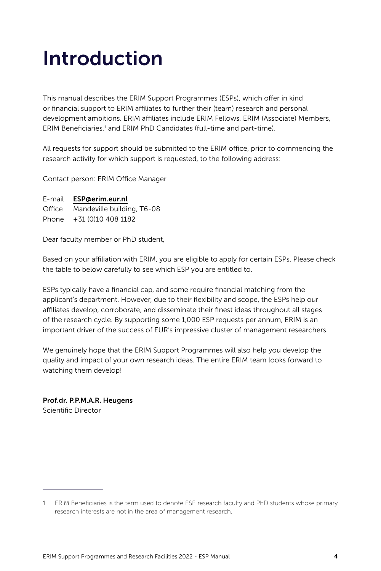## <span id="page-3-0"></span>Introduction

This manual describes the ERIM Support Programmes (ESPs), which offer in kind or financial support to ERIM affiliates to further their (team) research and personal development ambitions. ERIM affiliates include ERIM Fellows, ERIM (Associate) Members, ERIM Beneficiaries,<sup>1</sup> and ERIM PhD Candidates (full-time and part-time).

All requests for support should be submitted to the ERIM office, prior to commencing the research activity for which support is requested, to the following address:

Contact person: ERIM Office Manager

E-mail [ESP@erim.eur.nl](mailto:ESP%40erim.eur.nl?subject=) Office Mandeville building, T6-08 Phone +31 (0)10 408 1182

Dear faculty member or PhD student,

Based on your affiliation with ERIM, you are eligible to apply for certain ESPs. Please check the table to below carefully to see which ESP you are entitled to.

ESPs typically have a financial cap, and some require financial matching from the applicant's department. However, due to their flexibility and scope, the ESPs help our affiliates develop, corroborate, and disseminate their finest ideas throughout all stages of the research cycle. By supporting some 1,000 ESP requests per annum, ERIM is an important driver of the success of EUR's impressive cluster of management researchers.

We genuinely hope that the ERIM Support Programmes will also help you develop the quality and impact of your own research ideas. The entire ERIM team looks forward to watching them develop!

#### Prof.dr. P.P.M.A.R. Heugens Scientific Director

<sup>1</sup> ERIM Beneficiaries is the term used to denote ESE research faculty and PhD students whose primary research interests are not in the area of management research.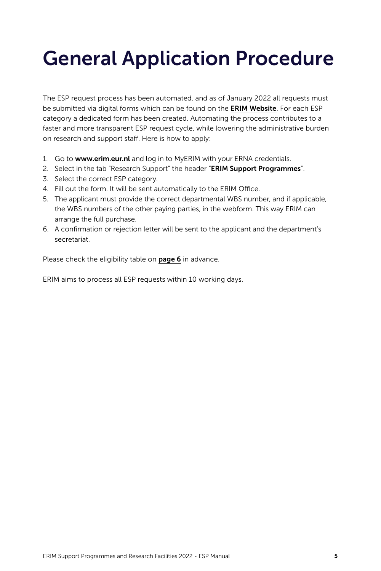# <span id="page-4-0"></span>General Application Procedure

The ESP request process has been automated, and as of January 2022 all requests must be submitted via digital forms which can be found on the **[ERIM Website](https://www.erim.eur.nl/)**. For each ESP category a dedicated form has been created. Automating the process contributes to a faster and more transparent ESP request cycle, while lowering the administrative burden on research and support staff. Here is how to apply:

- 1. Go to [www.erim.eur.nl](http://www.erim.eur.nl) and log in to MyERIM with your ERNA credentials.
- 2. Select in the tab "Research Support" the header "[ERIM Support Programmes](https://www.erim.eur.nl/myerim/research-support/erim-support-programmes/)".
- 3. Select the correct ESP category.
- 4. Fill out the form. It will be sent automatically to the ERIM Office.
- 5. The applicant must provide the correct departmental WBS number, and if applicable, the WBS numbers of the other paying parties, in the webform. This way ERIM can arrange the full purchase.
- 6. A confirmation or rejection letter will be sent to the applicant and the department's secretariat.

Please check the eligibility table on [page 6](#page-5-0) in advance.

ERIM aims to process all ESP requests within 10 working days.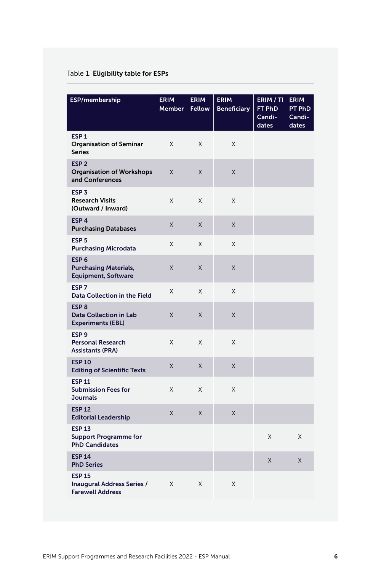#### <span id="page-5-0"></span>Table 1. Eligibility table for ESPs

| ESP/membership                                                                 | <b>ERIM</b><br><b>Member</b> | <b>ERIM</b><br><b>Fellow</b> | <b>ERIM</b><br><b>Beneficiary</b> | ERIM / TI<br>FT PhD<br>Candi-<br>dates | <b>ERIM</b><br>PT PhD<br>Candi-<br>dates |
|--------------------------------------------------------------------------------|------------------------------|------------------------------|-----------------------------------|----------------------------------------|------------------------------------------|
| ESP <sub>1</sub><br><b>Organisation of Seminar</b><br><b>Series</b>            | X                            | X                            | X                                 |                                        |                                          |
| ESP <sub>2</sub><br><b>Organisation of Workshops</b><br>and Conferences        | X                            | X                            | X                                 |                                        |                                          |
| ESP <sub>3</sub><br><b>Research Visits</b><br>(Outward / Inward)               | X                            | X                            | X                                 |                                        |                                          |
| ESP <sub>4</sub><br><b>Purchasing Databases</b>                                | X                            | X                            | X                                 |                                        |                                          |
| ESP <sub>5</sub><br><b>Purchasing Microdata</b>                                | X                            | X                            | X                                 |                                        |                                          |
| ESP <sub>6</sub><br><b>Purchasing Materials,</b><br><b>Equipment, Software</b> | Χ                            | X                            | Χ                                 |                                        |                                          |
| ESP <sub>7</sub><br>Data Collection in the Field                               | X                            | X                            | X                                 |                                        |                                          |
| ESP <sub>8</sub><br><b>Data Collection in Lab</b><br><b>Experiments (EBL)</b>  | X                            | X                            | X                                 |                                        |                                          |
| ESP <sub>9</sub><br><b>Personal Research</b><br><b>Assistants (PRA)</b>        | X                            | X                            | X                                 |                                        |                                          |
| <b>ESP 10</b><br><b>Editing of Scientific Texts</b>                            | Χ                            | X                            | X                                 |                                        |                                          |
| <b>ESP 11</b><br><b>Submission Fees for</b><br><b>Journals</b>                 | X                            | X                            | X                                 |                                        |                                          |
| <b>ESP 12</b><br><b>Editorial Leadership</b>                                   | X                            | X                            | X                                 |                                        |                                          |
| <b>ESP 13</b><br><b>Support Programme for</b><br><b>PhD Candidates</b>         |                              |                              |                                   | Χ                                      | X                                        |
| <b>ESP 14</b><br><b>PhD Series</b>                                             |                              |                              |                                   | Χ                                      | Χ                                        |
| <b>ESP 15</b><br>Inaugural Address Series /<br><b>Farewell Address</b>         | Χ                            | X                            | Χ                                 |                                        |                                          |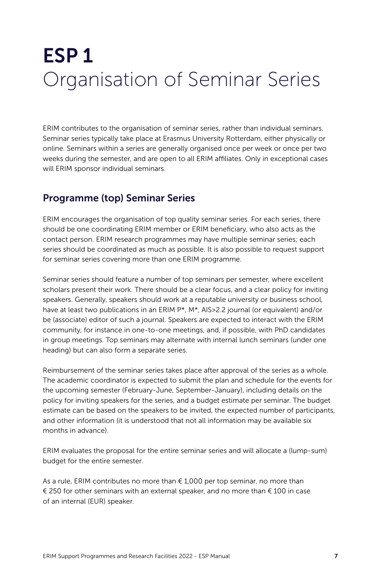## <span id="page-6-0"></span>ESP 1 Organisation of Seminar Series

ERIM contributes to the organisation of seminar series, rather than individual seminars. Seminar series typically take place at Erasmus University Rotterdam, either physically or online. Seminars within a series are generally organised once per week or once per two weeks during the semester, and are open to all ERIM affiliates. Only in exceptional cases will ERIM sponsor individual seminars.

#### Programme (top) Seminar Series

ERIM encourages the organisation of top quality seminar series. For each series, there should be one coordinating ERIM member or ERIM beneficiary, who also acts as the contact person. ERIM research programmes may have multiple seminar series; each series should be coordinated as much as possible. It is also possible to request support for seminar series covering more than one ERIM programme.

Seminar series should feature a number of top seminars per semester, where excellent scholars present their work. There should be a clear focus, and a clear policy for inviting speakers. Generally, speakers should work at a reputable university or business school, have at least two publications in an ERIM P<sup>\*</sup>, M<sup>\*</sup>, AlS>2.2 journal (or equivalent) and/or be (associate) editor of such a journal. Speakers are expected to interact with the ERIM community, for instance in one-to-one meetings, and, if possible, with PhD candidates in group meetings. Top seminars may alternate with internal lunch seminars (under one heading) but can also form a separate series.

Reimbursement of the seminar series takes place after approval of the series as a whole. The academic coordinator is expected to submit the plan and schedule for the events for the upcoming semester (February-June, September-January), including details on the policy for inviting speakers for the series, and a budget estimate per seminar. The budget estimate can be based on the speakers to be invited, the expected number of participants, and other information (it is understood that not all information may be available six months in advance).

ERIM evaluates the proposal for the entire seminar series and will allocate a (lump-sum) budget for the entire semester.

As a rule, ERIM contributes no more than  $\epsilon$  1,000 per top seminar, no more than € 250 for other seminars with an external speaker, and no more than € 100 in case of an internal (EUR) speaker.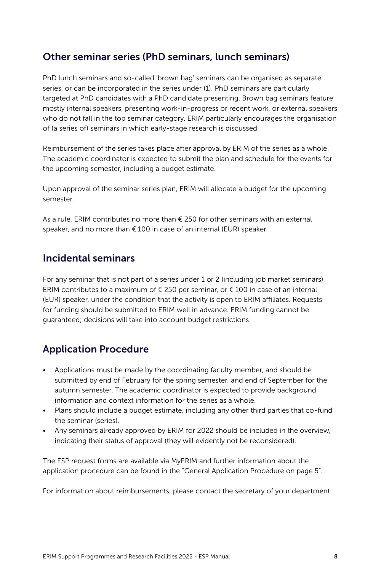#### Other seminar series (PhD seminars, lunch seminars)

PhD lunch seminars and so-called 'brown bag' seminars can be organised as separate series, or can be incorporated in the series under (1). PhD seminars are particularly targeted at PhD candidates with a PhD candidate presenting. Brown bag seminars feature mostly internal speakers, presenting work-in-progress or recent work, or external speakers who do not fall in the top seminar category. ERIM particularly encourages the organisation of (a series of) seminars in which early-stage research is discussed.

Reimbursement of the series takes place after approval by ERIM of the series as a whole. The academic coordinator is expected to submit the plan and schedule for the events for the upcoming semester, including a budget estimate.

Upon approval of the seminar series plan, ERIM will allocate a budget for the upcoming semester.

As a rule, ERIM contributes no more than  $\epsilon$  250 for other seminars with an external speaker, and no more than € 100 in case of an internal (EUR) speaker.

#### Incidental seminars

For any seminar that is not part of a series under 1 or 2 (including job market seminars), ERIM contributes to a maximum of  $\epsilon$  250 per seminar, or  $\epsilon$  100 in case of an internal (EUR) speaker, under the condition that the activity is open to ERIM affiliates. Requests for funding should be submitted to ERIM well in advance. ERIM funding cannot be guaranteed; decisions will take into account budget restrictions.

### Application Procedure

- Applications must be made by the coordinating faculty member, and should be submitted by end of February for the spring semester, and end of September for the autumn semester. The academic coordinator is expected to provide background information and context information for the series as a whole.
- Plans should include a budget estimate, including any other third parties that co-fund the seminar (series).
- Any seminars already approved by ERIM for 2022 should be included in the overview, indicating their status of approval (they will evidently not be reconsidered).

The ESP request forms are available via MyERIM and further information about the application procedure can be found in the "General Application Procedure on page 5".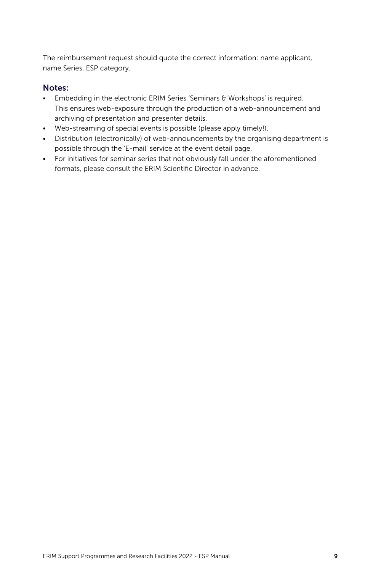The reimbursement request should quote the correct information: name applicant, name Series, ESP category.

#### Notes:

- Embedding in the electronic ERIM Series 'Seminars & Workshops' is required. This ensures web-exposure through the production of a web-announcement and archiving of presentation and presenter details.
- Web-streaming of special events is possible (please apply timely!).
- Distribution (electronically) of web-announcements by the organising department is possible through the 'E-mail' service at the event detail page.
- For initiatives for seminar series that not obviously fall under the aforementioned formats, please consult the ERIM Scientific Director in advance.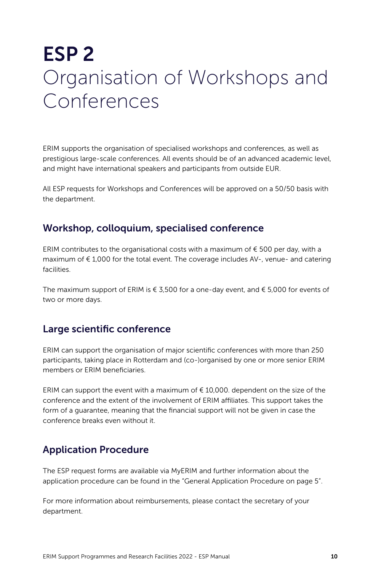### <span id="page-9-0"></span>ESP 2 Organisation of Workshops and Conferences

ERIM supports the organisation of specialised workshops and conferences, as well as prestigious large-scale conferences. All events should be of an advanced academic level, and might have international speakers and participants from outside EUR.

All ESP requests for Workshops and Conferences will be approved on a 50/50 basis with the department.

#### Workshop, colloquium, specialised conference

ERIM contributes to the organisational costs with a maximum of  $\epsilon$  500 per day, with a maximum of € 1,000 for the total event. The coverage includes AV-, venue- and catering facilities.

The maximum support of ERIM is  $\epsilon$  3,500 for a one-day event, and  $\epsilon$  5,000 for events of two or more days.

#### Large scientific conference

ERIM can support the organisation of major scientific conferences with more than 250 participants, taking place in Rotterdam and (co-)organised by one or more senior ERIM members or ERIM beneficiaries.

ERIM can support the event with a maximum of  $\epsilon$  10,000. dependent on the size of the conference and the extent of the involvement of ERIM affiliates. This support takes the form of a guarantee, meaning that the financial support will not be given in case the conference breaks even without it.

#### Application Procedure

The ESP request forms are available via MyERIM and further information about the application procedure can be found in the "General Application Procedure on page 5".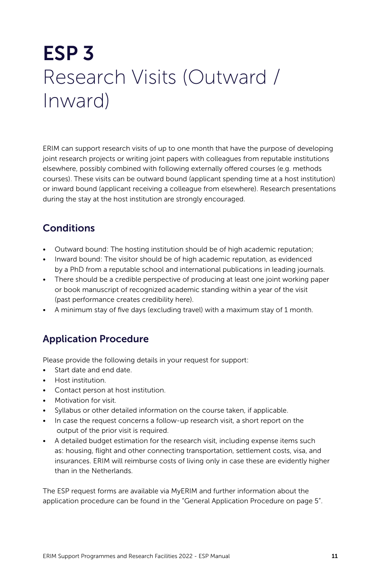# <span id="page-10-0"></span>ESP 3 Research Visits (Outward / Inward)

ERIM can support research visits of up to one month that have the purpose of developing joint research projects or writing joint papers with colleagues from reputable institutions elsewhere, possibly combined with following externally offered courses (e.g. methods courses). These visits can be outward bound (applicant spending time at a host institution) or inward bound (applicant receiving a colleague from elsewhere). Research presentations during the stay at the host institution are strongly encouraged.

### Conditions

- Outward bound: The hosting institution should be of high academic reputation;
- Inward bound: The visitor should be of high academic reputation, as evidenced by a PhD from a reputable school and international publications in leading journals.
- There should be a credible perspective of producing at least one joint working paper or book manuscript of recognized academic standing within a year of the visit (past performance creates credibility here).
- A minimum stay of five days (excluding travel) with a maximum stay of 1 month.

### Application Procedure

Please provide the following details in your request for support:

- Start date and end date.
- Host institution.
- Contact person at host institution.
- Motivation for visit.
- Syllabus or other detailed information on the course taken, if applicable.
- In case the request concerns a follow-up research visit, a short report on the output of the prior visit is required.
- A detailed budget estimation for the research visit, including expense items such as: housing, flight and other connecting transportation, settlement costs, visa, and insurances. ERIM will reimburse costs of living only in case these are evidently higher than in the Netherlands.

The ESP request forms are available via MyERIM and further information about the application procedure can be found in the "General Application Procedure on page 5".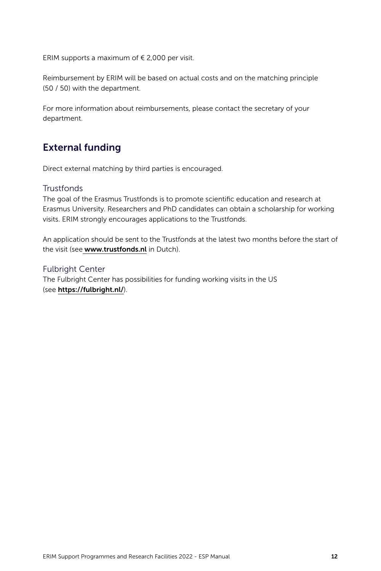ERIM supports a maximum of  $\epsilon$  2,000 per visit.

Reimbursement by ERIM will be based on actual costs and on the matching principle (50 / 50) with the department.

For more information about reimbursements, please contact the secretary of your department.

#### External funding

Direct external matching by third parties is encouraged.

#### **Trustfonds**

The goal of the Erasmus Trustfonds is to promote scientific education and research at Erasmus University. Researchers and PhD candidates can obtain a scholarship for working visits. ERIM strongly encourages applications to the Trustfonds.

An application should be sent to the Trustfonds at the latest two months before the start of the visit (see [www.trustfonds.nl](http://www.trustfonds.nl) in Dutch).

#### Fulbright Center

The Fulbright Center has possibilities for funding working visits in the US (see <https://fulbright.nl/>).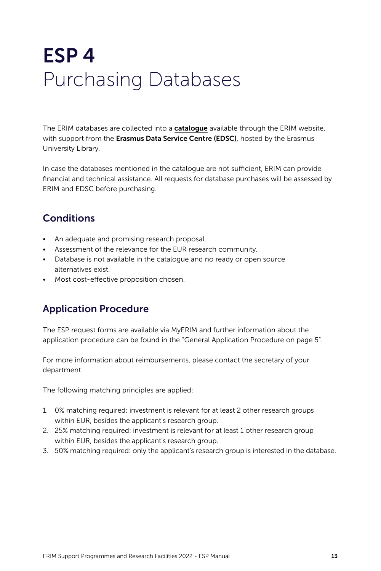# <span id="page-12-0"></span>ESP 4 Purchasing Databases

The ERIM databases are collected into a **[catalogue](https://www.erim.eur.nl/research-integrity/rdm/databases-2/)** available through the ERIM website, with support from the [Erasmus Data Service Centre \(EDSC\)](https://www.eur.nl/), hosted by the Erasmus University Library.

In case the databases mentioned in the catalogue are not sufficient, ERIM can provide financial and technical assistance. All requests for database purchases will be assessed by ERIM and EDSC before purchasing.

### **Conditions**

- An adequate and promising research proposal.
- Assessment of the relevance for the EUR research community.
- Database is not available in the catalogue and no ready or open source alternatives exist.
- Most cost-effective proposition chosen.

### Application Procedure

The ESP request forms are available via MyERIM and further information about the application procedure can be found in the "General Application Procedure on page 5".

For more information about reimbursements, please contact the secretary of your department.

The following matching principles are applied:

- 1. 0% matching required: investment is relevant for at least 2 other research groups within EUR, besides the applicant's research group.
- 2. 25% matching required: investment is relevant for at least 1 other research group within EUR, besides the applicant's research group.
- 3. 50% matching required: only the applicant's research group is interested in the database.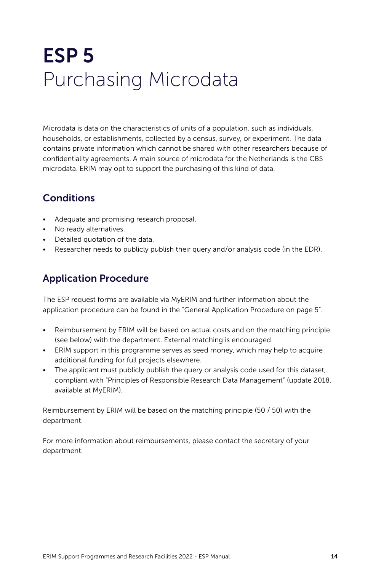# <span id="page-13-0"></span>ESP 5 Purchasing Microdata

Microdata is data on the characteristics of units of a population, such as individuals, households, or establishments, collected by a census, survey, or experiment. The data contains private information which cannot be shared with other researchers because of confidentiality agreements. A main source of microdata for the Netherlands is the CBS microdata. ERIM may opt to support the purchasing of this kind of data.

### **Conditions**

- Adequate and promising research proposal.
- No ready alternatives.
- Detailed quotation of the data.
- Researcher needs to publicly publish their query and/or analysis code (in the EDR).

### Application Procedure

The ESP request forms are available via MyERIM and further information about the application procedure can be found in the "General Application Procedure on page 5".

- Reimbursement by ERIM will be based on actual costs and on the matching principle (see below) with the department. External matching is encouraged.
- ERIM support in this programme serves as seed money, which may help to acquire additional funding for full projects elsewhere.
- The applicant must publicly publish the query or analysis code used for this dataset, compliant with "Principles of Responsible Research Data Management" (update 2018, available at MyERIM).

Reimbursement by ERIM will be based on the matching principle (50 / 50) with the department.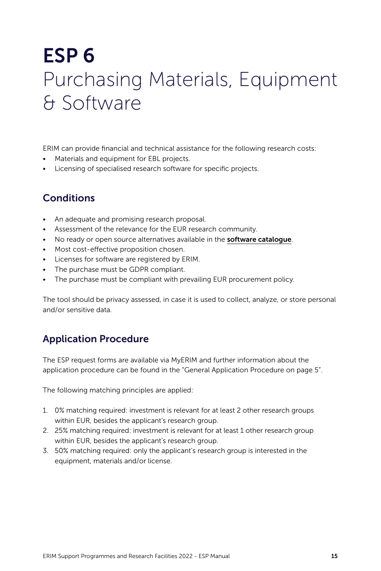### <span id="page-14-0"></span>ESP 6 Purchasing Materials, Equipment & Software

ERIM can provide financial and technical assistance for the following research costs:

- Materials and equipment for EBL projects.
- Licensing of specialised research software for specific projects.

### **Conditions**

- An adequate and promising research proposal.
- Assessment of the relevance for the EUR research community.
- No ready or open source alternatives available in the **[software catalogue](https://login.ds.eur.nl/adfs/ls/?SAMLRequest=lZLLbsJADEV%2FJZp9MgRCCiNAoqCqSLRFhXbRTWUSU0aaRzp2%2Bvj7htDnBqmr0dg%2B9r2WRwTWVGpa897d4nONxNGbNY5UmxiLOjjlgTQpBxZJcaHW06ul6iYdVQXPvvBG%2FEJOE0CEgbV3IlrMx%2BIRsl1eDrHIe4CQAfYxLfJ%2BOhwU22wI%2BSDvbHvZcHe2HYjoHgM15Fg0jRqcqMaFIwbHTajTTeO0G6f9TdpRvVxl%2BYOI5o0b7YBbas9ckZLS%2BCftkpISrEPijIRyR9KQFNH0S9zMO6othjWGF13g3e3yB7fvXyBpWxk8eJbWl7XBpNpXsv3T8e3GUFAbPQwR0epzX%2Bfaldo9nV7V9lhE6nKzWcWrm%2FVGTEaHrqq1Hib%2FVWSRoQSGb0Ej%2Bbvd6HgJ142QxXzljS7eowsfLPBpnYeILuNdW6o4gCONjpt1GuNfZwGBcSw41Cjk5Djy771NPgA%3D&RelayState=https%3A%2F%2Fmy.eur.nl%2Fen%2Fsaml_login%3Fdestination%3D%252Fen%252Feur-employee%252Fmedia%252F2021-12-softwarecatalogweurk&SigAlg=http%3A%2F%2Fwww.w3.org%2F2001%2F04%2Fxmldsig-more%23rsa-sha256&Signature=WKRIy%2F5dtDlg8oTojwJEakZlcB0DQkGM8q9P5rhIHf%2BcgKG6R384HTroct66WzkSXCrw%2F5B86AGuG5Pam4pd2Tto4L3q7iZonfTNPkQ1w82NmYJdTmo%2FcUDiUEFuKDcNyx2u2lCSVaLk2BNn%2Becj%2BobeTuDszqhSe3enYo4rT39GvrEcEHbpiF1%2FBOq4ohoF%2BjDfC46Pwr7DWs%2Bvc1SnQlhYN4CsENFxc5OcYKezBXytSiYpFjRpqo4GnNRHdlgBWfjO%2FgkN4GiFFhBp3pByE0WcMabVTHsCyGHdBZyLzIgsTveQMf5dUJ%2BKeOCcEM3opOzrrek6rQIB3bQW6OjcuVyDzs6hph0lvBvMkqKjytOM3vglR6Vh7j6oFAvuStm1uSZvvCUsuDH5QI2nTvUUmsqFH5vwOmpDiFVtmau202BufpZbgBNcoCfZeF4n2FQSZIDUrUv1ruTbWjFwK5vWn9OIKq8G2fgaEw3bTqS%2BN%2BXIQU60UAclC3FlGWA2Q0c1TIyV4nSSZjDwu92jxYCfMaNHWewvPpsPNSrT4JQutF5CHFgq94qy9wAO6Ojg14Fv3sygwwuwduHgZJ56%2BqYT0Mcfce4PUf9XHVrsIvaDbW2iSz%2Fhy%2FaIwt9Bcs31Tccv%2FEWG4ke2gfEsgI9so1rmzxlkrMl1XHLJXRL%2FXQzQabw%3D)**.
- Most cost-effective proposition chosen.
- Licenses for software are registered by ERIM.
- The purchase must be GDPR compliant.
- The purchase must be compliant with prevailing EUR procurement policy.

The tool should be privacy assessed, in case it is used to collect, analyze, or store personal and/or sensitive data.

### Application Procedure

The ESP request forms are available via MyERIM and further information about the application procedure can be found in the "General Application Procedure on page 5".

The following matching principles are applied:

- 1. 0% matching required: investment is relevant for at least 2 other research groups within EUR, besides the applicant's research group.
- 2. 25% matching required: investment is relevant for at least 1 other research group within EUR, besides the applicant's research group.
- 3. 50% matching required: only the applicant's research group is interested in the equipment, materials and/or license.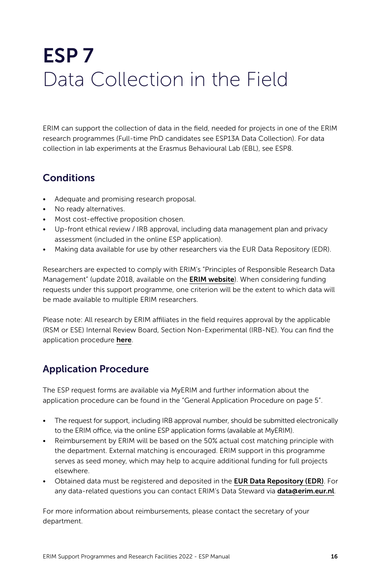# <span id="page-15-0"></span>ESP 7 Data Collection in the Field

ERIM can support the collection of data in the field, needed for projects in one of the ERIM research programmes (Full-time PhD candidates see ESP13A Data Collection). For data collection in lab experiments at the Erasmus Behavioural Lab (EBL), see ESP8.

### **Conditions**

- Adequate and promising research proposal.
- No ready alternatives.
- Most cost-effective proposition chosen.
- Up-front ethical review / IRB approval, including data management plan and privacy assessment (included in the online ESP application).
- Making data available for use by other researchers via the EUR Data Repository (EDR).

Researchers are expected to comply with ERIM's "Principles of Responsible Research Data Management" (update 2018, available on the **[ERIM website](https://www.erim.eur.nl/fileadmin/user_upload/Principles-Responsible_Research_Data_Management.pdf)**). When considering funding requests under this support programme, one criterion will be the extent to which data will be made available to multiple ERIM researchers.

Please note: All research by ERIM affiliates in the field requires approval by the applicable (RSM or ESE) Internal Review Board, Section Non-Experimental (IRB-NE). You can find the application procedure [here](https://www.erim.eur.nl/research-integrity/irb/).

### Application Procedure

The ESP request forms are available via MyERIM and further information about the application procedure can be found in the "General Application Procedure on page 5".

- The request for support, including IRB approval number, should be submitted electronically to the ERIM office, via the online ESP application forms (available at MyERIM).
- Reimbursement by ERIM will be based on the 50% actual cost matching principle with the department. External matching is encouraged. ERIM support in this programme serves as seed money, which may help to acquire additional funding for full projects elsewhere.
- Obtained data must be registered and deposited in the [EUR Data Repository \(EDR\)](https://www.eur.nl/en/library/eur-data-repository). For any data-related questions you can contact ERIM's Data Steward via [data@erim.eur.nl](mailto:data%40erim.eur.nl?subject=).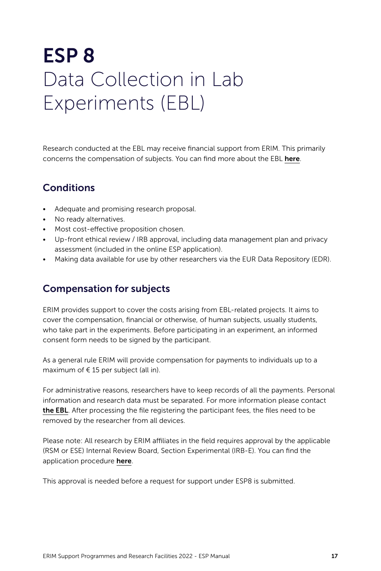### <span id="page-16-0"></span>ESP 8 Data Collection in Lab Experiments (EBL)

Research conducted at the EBL may receive financial support from ERIM. This primarily concerns the compensation of subjects. You can find more about the EBL [here](https://www.erim.eur.nl/research-support/erasmus-behavioural-lab/).

#### **Conditions**

- Adequate and promising research proposal.
- No ready alternatives.
- Most cost-effective proposition chosen.
- Up-front ethical review / IRB approval, including data management plan and privacy assessment (included in the online ESP application).
- Making data available for use by other researchers via the EUR Data Repository (EDR).

### Compensation for subjects

ERIM provides support to cover the costs arising from EBL-related projects. It aims to cover the compensation, financial or otherwise, of human subjects, usually students, who take part in the experiments. Before participating in an experiment, an informed consent form needs to be signed by the participant.

As a general rule ERIM will provide compensation for payments to individuals up to a maximum of  $\in$  15 per subject (all in).

For administrative reasons, researchers have to keep records of all the payments. Personal information and research data must be separated. For more information please contact [the EBL](https://www.erim.eur.nl/research-support/erasmus-behavioural-lab-ebl/contact/). After processing the file registering the participant fees, the files need to be removed by the researcher from all devices.

Please note: All research by ERIM affiliates in the field requires approval by the applicable (RSM or ESE) Internal Review Board, Section Experimental (IRB-E). You can find the application procedure [here](https://www.erim.eur.nl/research-integrity/irb/).

This approval is needed before a request for support under ESP8 is submitted.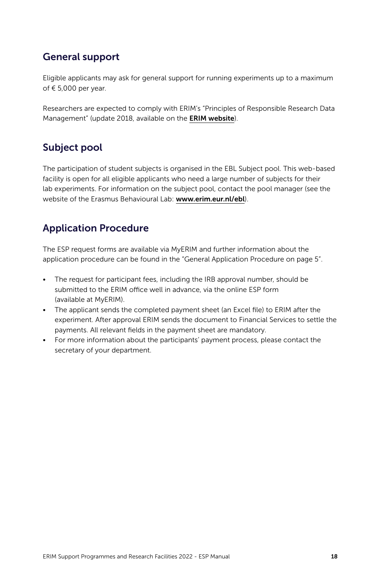### General support

Eligible applicants may ask for general support for running experiments up to a maximum of € 5,000 per year.

Researchers are expected to comply with ERIM's "Principles of Responsible Research Data Management" (update 2018, available on the **[ERIM website](https://www.erim.eur.nl/fileadmin/user_upload/Principles-Responsible_Research_Data_Management.pdf)**).

#### Subject pool

The participation of student subjects is organised in the EBL Subject pool. This web-based facility is open for all eligible applicants who need a large number of subjects for their lab experiments. For information on the subject pool, contact the pool manager (see the website of the Erasmus Behavioural Lab: [www.erim.eur.nl/ebl](http://www.erim.eur.nl/ebl)).

### Application Procedure

The ESP request forms are available via MyERIM and further information about the application procedure can be found in the "General Application Procedure on page 5".

- The request for participant fees, including the IRB approval number, should be submitted to the ERIM office well in advance, via the online ESP form (available at MyERIM).
- The applicant sends the completed payment sheet (an Excel file) to ERIM after the experiment. After approval ERIM sends the document to Financial Services to settle the payments. All relevant fields in the payment sheet are mandatory.
- For more information about the participants' payment process, please contact the secretary of your department.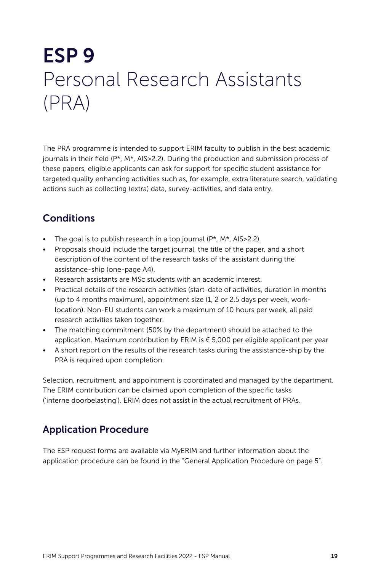# <span id="page-18-0"></span>ESP 9 Personal Research Assistants (PRA)

The PRA programme is intended to support ERIM faculty to publish in the best academic journals in their field (P\*, M\*, AIS>2.2). During the production and submission process of these papers, eligible applicants can ask for support for specific student assistance for targeted quality enhancing activities such as, for example, extra literature search, validating actions such as collecting (extra) data, survey-activities, and data entry.

### **Conditions**

- The goal is to publish research in a top journal  $(P^*, M^*, AIS > 2.2)$ .
- Proposals should include the target journal, the title of the paper, and a short description of the content of the research tasks of the assistant during the assistance-ship (one-page A4).
- Research assistants are MSc students with an academic interest.
- Practical details of the research activities (start-date of activities, duration in months (up to 4 months maximum), appointment size (1, 2 or 2.5 days per week, worklocation). Non-EU students can work a maximum of 10 hours per week, all paid research activities taken together.
- The matching commitment (50% by the department) should be attached to the application. Maximum contribution by ERIM is € 5,000 per eligible applicant per year
- A short report on the results of the research tasks during the assistance-ship by the PRA is required upon completion.

Selection, recruitment, and appointment is coordinated and managed by the department. The ERIM contribution can be claimed upon completion of the specific tasks ('interne doorbelasting'). ERIM does not assist in the actual recruitment of PRAs.

### Application Procedure

The ESP request forms are available via MyERIM and further information about the application procedure can be found in the "General Application Procedure on page 5".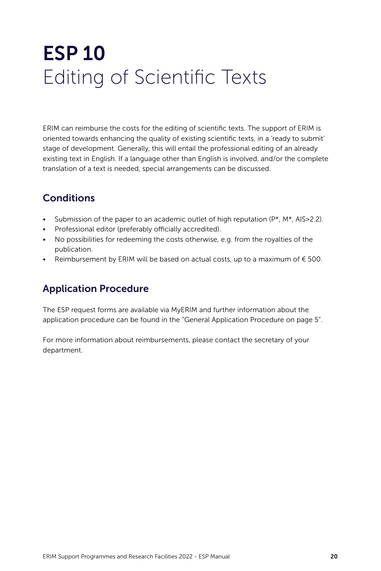# <span id="page-19-0"></span>ESP 10 Editing of Scientific Texts

ERIM can reimburse the costs for the editing of scientific texts. The support of ERIM is oriented towards enhancing the quality of existing scientific texts, in a 'ready to submit' stage of development. Generally, this will entail the professional editing of an already existing text in English. If a language other than English is involved, and/or the complete translation of a text is needed, special arrangements can be discussed.

### **Conditions**

- Submission of the paper to an academic outlet of high reputation  $(P^*, M^*, AIS>2.2)$ .
- Professional editor (preferably officially accredited).
- No possibilities for redeeming the costs otherwise, e.g. from the royalties of the publication.
- Reimbursement by ERIM will be based on actual costs, up to a maximum of  $\epsilon$  500.

### Application Procedure

The ESP request forms are available via MyERIM and further information about the application procedure can be found in the "General Application Procedure on page 5".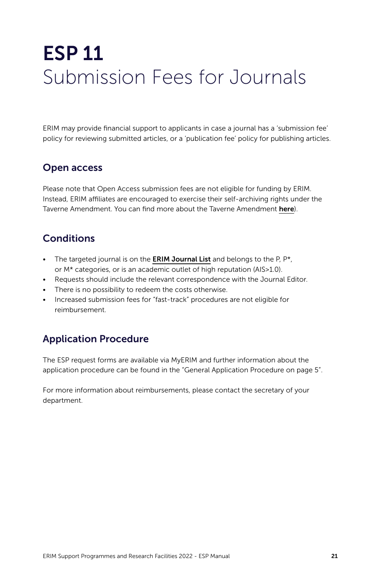## <span id="page-20-0"></span>ESP 11 Submission Fees for Journals

ERIM may provide financial support to applicants in case a journal has a 'submission fee' policy for reviewing submitted articles, or a 'publication fee' policy for publishing articles.

#### Open access

Please note that Open Access submission fees are not eligible for funding by ERIM. Instead, ERIM affiliates are encouraged to exercise their self-archiving rights under the Taverne Amendment. You can find more about the Taverne Amendment [here](https://www.eur.nl/en/research/research-services/publishing/open-access/taverne-amendment)).

### **Conditions**

- The targeted journal is on the **[ERIM Journal List](https://www.erim.eur.nl/about-erim/erim-journals-list-ejl/)** and belongs to the P,  $P^*$ , or M\* categories, or is an academic outlet of high reputation (AIS>1.0).
- Requests should include the relevant correspondence with the Journal Editor.
- There is no possibility to redeem the costs otherwise.
- Increased submission fees for "fast-track" procedures are not eligible for reimbursement.

### Application Procedure

The ESP request forms are available via MyERIM and further information about the application procedure can be found in the "General Application Procedure on page 5".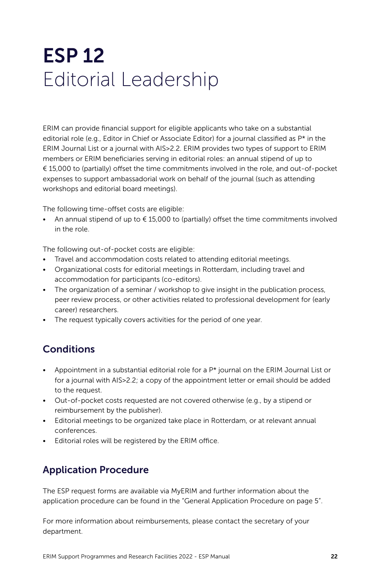## <span id="page-21-0"></span>ESP 12 Editorial Leadership

ERIM can provide financial support for eligible applicants who take on a substantial editorial role (e.g., Editor in Chief or Associate Editor) for a journal classified as  $P^*$  in the ERIM Journal List or a journal with AIS>2.2. ERIM provides two types of support to ERIM members or ERIM beneficiaries serving in editorial roles: an annual stipend of up to € 15,000 to (partially) offset the time commitments involved in the role, and out-of-pocket expenses to support ambassadorial work on behalf of the journal (such as attending workshops and editorial board meetings).

The following time-offset costs are eligible:

• An annual stipend of up to € 15,000 to (partially) offset the time commitments involved in the role.

The following out-of-pocket costs are eligible:

- Travel and accommodation costs related to attending editorial meetings.
- Organizational costs for editorial meetings in Rotterdam, including travel and accommodation for participants (co-editors).
- The organization of a seminar / workshop to give insight in the publication process, peer review process, or other activities related to professional development for (early career) researchers.
- The request typically covers activities for the period of one year.

#### **Conditions**

- Appointment in a substantial editorial role for a  $P^*$  journal on the ERIM Journal List or for a journal with AIS>2.2; a copy of the appointment letter or email should be added to the request.
- Out-of-pocket costs requested are not covered otherwise (e.g., by a stipend or reimbursement by the publisher).
- Editorial meetings to be organized take place in Rotterdam, or at relevant annual conferences.
- Editorial roles will be registered by the ERIM office.

### Application Procedure

The ESP request forms are available via MyERIM and further information about the application procedure can be found in the "General Application Procedure on page 5".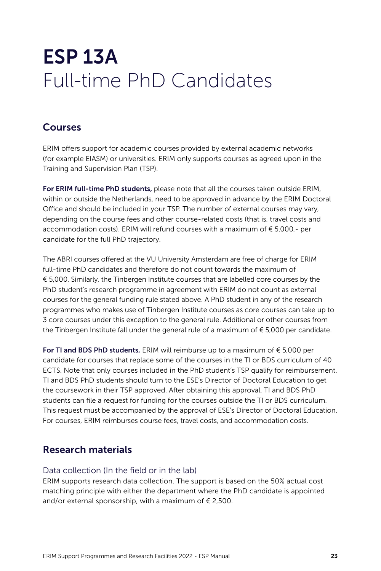## <span id="page-22-0"></span>ESP 13A Full-time PhD Candidates

#### Courses

ERIM offers support for academic courses provided by external academic networks (for example EIASM) or universities. ERIM only supports courses as agreed upon in the Training and Supervision Plan (TSP).

For ERIM full-time PhD students, please note that all the courses taken outside ERIM, within or outside the Netherlands, need to be approved in advance by the ERIM Doctoral Office and should be included in your TSP. The number of external courses may vary, depending on the course fees and other course-related costs (that is, travel costs and accommodation costs). ERIM will refund courses with a maximum of € 5,000,- per candidate for the full PhD trajectory.

The ABRI courses offered at the VU University Amsterdam are free of charge for ERIM full-time PhD candidates and therefore do not count towards the maximum of € 5,000. Similarly, the Tinbergen Institute courses that are labelled core courses by the PhD student's research programme in agreement with ERIM do not count as external courses for the general funding rule stated above. A PhD student in any of the research programmes who makes use of Tinbergen Institute courses as core courses can take up to 3 core courses under this exception to the general rule. Additional or other courses from the Tinbergen Institute fall under the general rule of a maximum of € 5,000 per candidate.

For TI and BDS PhD students, ERIM will reimburse up to a maximum of  $\epsilon$  5,000 per candidate for courses that replace some of the courses in the TI or BDS curriculum of 40 ECTS. Note that only courses included in the PhD student's TSP qualify for reimbursement. TI and BDS PhD students should turn to the ESE's Director of Doctoral Education to get the coursework in their TSP approved. After obtaining this approval, TI and BDS PhD students can file a request for funding for the courses outside the TI or BDS curriculum. This request must be accompanied by the approval of ESE's Director of Doctoral Education. For courses, ERIM reimburses course fees, travel costs, and accommodation costs.

#### Research materials

#### Data collection (In the field or in the lab)

ERIM supports research data collection. The support is based on the 50% actual cost matching principle with either the department where the PhD candidate is appointed and/or external sponsorship, with a maximum of  $\epsilon$  2,500.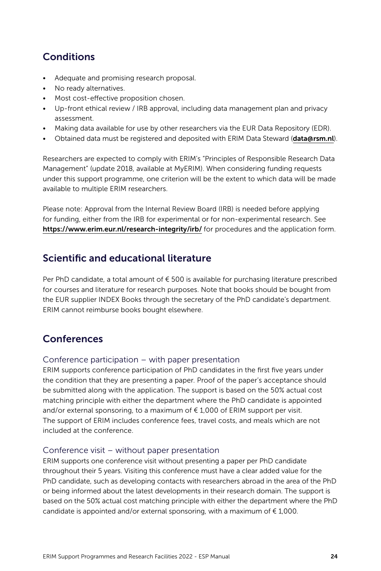### **Conditions**

- Adequate and promising research proposal.
- No ready alternatives.
- Most cost-effective proposition chosen.
- Up-front ethical review / IRB approval, including data management plan and privacy assessment.
- Making data available for use by other researchers via the EUR Data Repository (EDR).
- Obtained data must be registered and deposited with ERIM Data Steward ([data@rsm.nl](mailto:data%40rsm.nl?subject=)).

Researchers are expected to comply with ERIM's "Principles of Responsible Research Data Management" (update 2018, available at MyERIM). When considering funding requests under this support programme, one criterion will be the extent to which data will be made available to multiple ERIM researchers.

Please note: Approval from the Internal Review Board (IRB) is needed before applying for funding, either from the IRB for experimental or for non-experimental research. See <https://www.erim.eur.nl/research-integrity/irb/> for procedures and the application form.

#### Scientific and educational literature

Per PhD candidate, a total amount of  $\epsilon$  500 is available for purchasing literature prescribed for courses and literature for research purposes. Note that books should be bought from the EUR supplier INDEX Books through the secretary of the PhD candidate's department. ERIM cannot reimburse books bought elsewhere.

#### **Conferences**

#### Conference participation – with paper presentation

ERIM supports conference participation of PhD candidates in the first five years under the condition that they are presenting a paper. Proof of the paper's acceptance should be submitted along with the application. The support is based on the 50% actual cost matching principle with either the department where the PhD candidate is appointed and/or external sponsoring, to a maximum of € 1,000 of ERIM support per visit. The support of ERIM includes conference fees, travel costs, and meals which are not included at the conference.

#### Conference visit – without paper presentation

ERIM supports one conference visit without presenting a paper per PhD candidate throughout their 5 years. Visiting this conference must have a clear added value for the PhD candidate, such as developing contacts with researchers abroad in the area of the PhD or being informed about the latest developments in their research domain. The support is based on the 50% actual cost matching principle with either the department where the PhD candidate is appointed and/or external sponsoring, with a maximum of  $\epsilon$  1,000.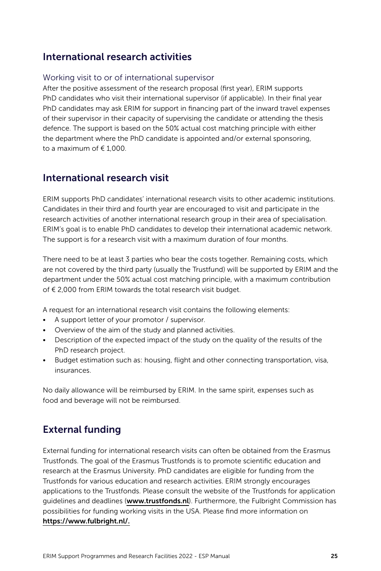#### International research activities

#### Working visit to or of international supervisor

After the positive assessment of the research proposal (first year), ERIM supports PhD candidates who visit their international supervisor (if applicable). In their final year PhD candidates may ask ERIM for support in financing part of the inward travel expenses of their supervisor in their capacity of supervising the candidate or attending the thesis defence. The support is based on the 50% actual cost matching principle with either the department where the PhD candidate is appointed and/or external sponsoring, to a maximum of  $\epsilon$  1,000.

#### International research visit

ERIM supports PhD candidates' international research visits to other academic institutions. Candidates in their third and fourth year are encouraged to visit and participate in the research activities of another international research group in their area of specialisation. ERIM's goal is to enable PhD candidates to develop their international academic network. The support is for a research visit with a maximum duration of four months.

There need to be at least 3 parties who bear the costs together. Remaining costs, which are not covered by the third party (usually the Trustfund) will be supported by ERIM and the department under the 50% actual cost matching principle, with a maximum contribution of € 2,000 from ERIM towards the total research visit budget.

A request for an international research visit contains the following elements:

- A support letter of your promotor / supervisor.
- Overview of the aim of the study and planned activities.
- Description of the expected impact of the study on the quality of the results of the PhD research project.
- Budget estimation such as: housing, flight and other connecting transportation, visa, insurances.

No daily allowance will be reimbursed by ERIM. In the same spirit, expenses such as food and beverage will not be reimbursed.

### External funding

External funding for international research visits can often be obtained from the Erasmus Trustfonds. The goal of the Erasmus Trustfonds is to promote scientific education and research at the Erasmus University. PhD candidates are eligible for funding from the Trustfonds for various education and research activities. ERIM strongly encourages applications to the Trustfonds. Please consult the website of the Trustfonds for application quidelines and deadlines ([www.trustfonds.nl](http://www.trustfonds.nl)). Furthermore, the Fulbright Commission has possibilities for funding working visits in the USA. Please find more information on [https://www.fulbright.nl/](https://fulbright.nl/).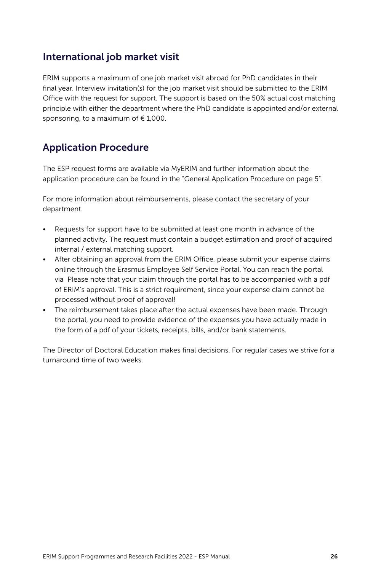#### International job market visit

ERIM supports a maximum of one job market visit abroad for PhD candidates in their final year. Interview invitation(s) for the job market visit should be submitted to the ERIM Office with the request for support. The support is based on the 50% actual cost matching principle with either the department where the PhD candidate is appointed and/or external sponsoring, to a maximum of  $\epsilon$  1,000.

### Application Procedure

The ESP request forms are available via MyERIM and further information about the application procedure can be found in the "General Application Procedure on page 5".

For more information about reimbursements, please contact the secretary of your department.

- Requests for support have to be submitted at least one month in advance of the planned activity. The request must contain a budget estimation and proof of acquired internal / external matching support.
- After obtaining an approval from the ERIM Office, please submit your expense claims online through the Erasmus Employee Self Service Portal. You can reach the portal via Please note that your claim through the portal has to be accompanied with a pdf of ERIM's approval. This is a strict requirement, since your expense claim cannot be processed without proof of approval!
- The reimbursement takes place after the actual expenses have been made. Through the portal, you need to provide evidence of the expenses you have actually made in the form of a pdf of your tickets, receipts, bills, and/or bank statements.

The Director of Doctoral Education makes final decisions. For regular cases we strive for a turnaround time of two weeks.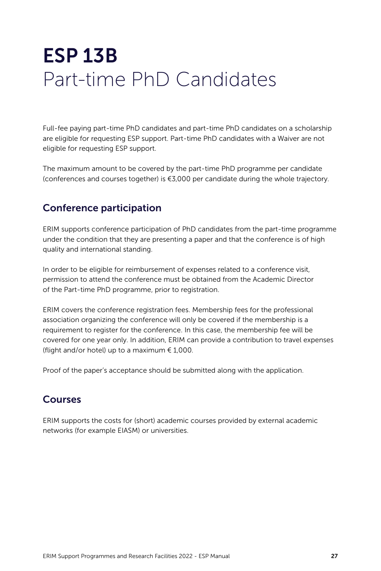# <span id="page-26-0"></span>ESP 13B Part-time PhD Candidates

Full-fee paying part-time PhD candidates and part-time PhD candidates on a scholarship are eligible for requesting ESP support. Part-time PhD candidates with a Waiver are not eligible for requesting ESP support.

The maximum amount to be covered by the part-time PhD programme per candidate (conferences and courses together) is €3,000 per candidate during the whole trajectory.

#### Conference participation

ERIM supports conference participation of PhD candidates from the part-time programme under the condition that they are presenting a paper and that the conference is of high quality and international standing.

In order to be eligible for reimbursement of expenses related to a conference visit, permission to attend the conference must be obtained from the Academic Director of the Part-time PhD programme, prior to registration.

ERIM covers the conference registration fees. Membership fees for the professional association organizing the conference will only be covered if the membership is a requirement to register for the conference. In this case, the membership fee will be covered for one year only. In addition, ERIM can provide a contribution to travel expenses (flight and/or hotel) up to a maximum  $€ 1,000$ .

Proof of the paper's acceptance should be submitted along with the application.

#### Courses

ERIM supports the costs for (short) academic courses provided by external academic networks (for example EIASM) or universities.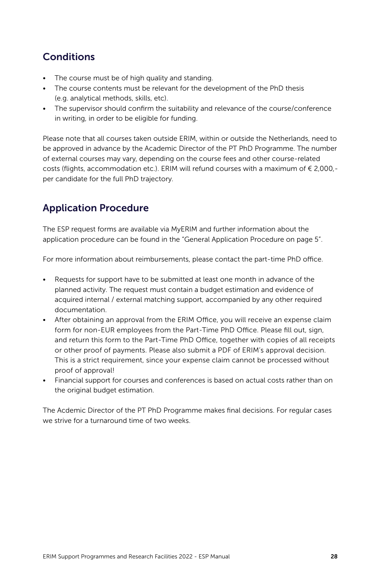### **Conditions**

- The course must be of high quality and standing.
- The course contents must be relevant for the development of the PhD thesis (e.g. analytical methods, skills, etc).
- The supervisor should confirm the suitability and relevance of the course/conference in writing, in order to be eligible for funding.

Please note that all courses taken outside ERIM, within or outside the Netherlands, need to be approved in advance by the Academic Director of the PT PhD Programme. The number of external courses may vary, depending on the course fees and other course-related costs (flights, accommodation etc.). ERIM will refund courses with a maximum of € 2,000, per candidate for the full PhD trajectory.

### Application Procedure

The ESP request forms are available via MyERIM and further information about the application procedure can be found in the "General Application Procedure on page 5".

For more information about reimbursements, please contact the part-time PhD office.

- Requests for support have to be submitted at least one month in advance of the planned activity. The request must contain a budget estimation and evidence of acquired internal / external matching support, accompanied by any other required documentation.
- After obtaining an approval from the ERIM Office, you will receive an expense claim form for non-EUR employees from the Part-Time PhD Office. Please fill out, sign, and return this form to the Part-Time PhD Office, together with copies of all receipts or other proof of payments. Please also submit a PDF of ERIM's approval decision. This is a strict requirement, since your expense claim cannot be processed without proof of approval!
- Financial support for courses and conferences is based on actual costs rather than on the original budget estimation.

The Acdemic Director of the PT PhD Programme makes final decisions. For regular cases we strive for a turnaround time of two weeks.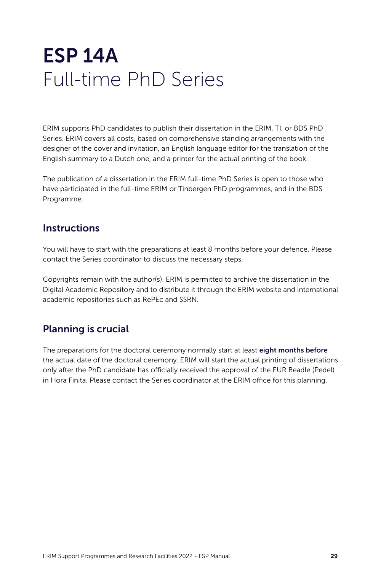### <span id="page-28-0"></span>ESP 14A Full-time PhD Series

ERIM supports PhD candidates to publish their dissertation in the ERIM, TI, or BDS PhD Series. ERIM covers all costs, based on comprehensive standing arrangements with the designer of the cover and invitation, an English language editor for the translation of the English summary to a Dutch one, and a printer for the actual printing of the book.

The publication of a dissertation in the ERIM full-time PhD Series is open to those who have participated in the full-time ERIM or Tinbergen PhD programmes, and in the BDS Programme.

#### **Instructions**

You will have to start with the preparations at least 8 months before your defence. Please contact the Series coordinator to discuss the necessary steps.

Copyrights remain with the author(s). ERIM is permitted to archive the dissertation in the Digital Academic Repository and to distribute it through the ERIM website and international academic repositories such as RePEc and SSRN.

#### Planning is crucial

The preparations for the doctoral ceremony normally start at least eight months before the actual date of the doctoral ceremony. ERIM will start the actual printing of dissertations only after the PhD candidate has officially received the approval of the EUR Beadle (Pedel) in Hora Finita. Please contact the Series coordinator at the ERIM office for this planning.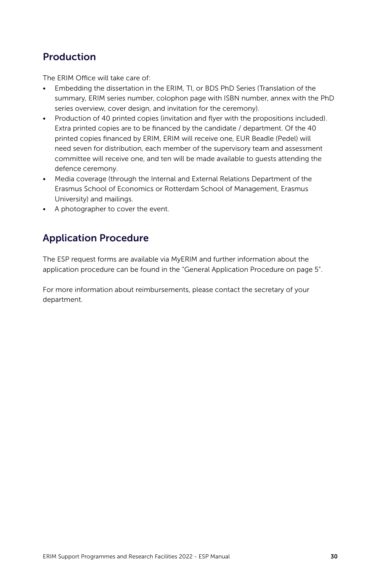#### Production

The ERIM Office will take care of:

- Embedding the dissertation in the ERIM, TI, or BDS PhD Series (Translation of the summary, ERIM series number, colophon page with ISBN number, annex with the PhD series overview, cover design, and invitation for the ceremony).
- Production of 40 printed copies (invitation and flyer with the propositions included). Extra printed copies are to be financed by the candidate / department. Of the 40 printed copies financed by ERIM, ERIM will receive one, EUR Beadle (Pedel) will need seven for distribution, each member of the supervisory team and assessment committee will receive one, and ten will be made available to guests attending the defence ceremony.
- Media coverage (through the Internal and External Relations Department of the Erasmus School of Economics or Rotterdam School of Management, Erasmus University) and mailings.
- A photographer to cover the event.

#### Application Procedure

The ESP request forms are available via MyERIM and further information about the application procedure can be found in the "General Application Procedure on page 5".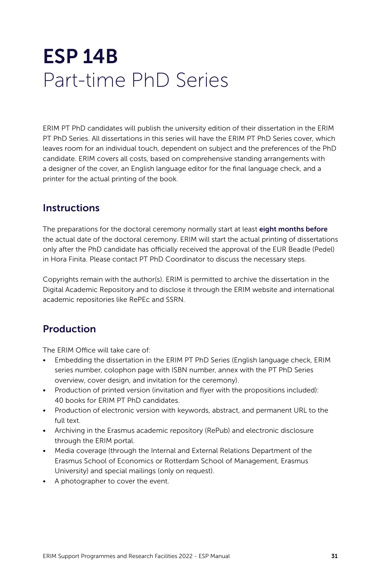### <span id="page-30-0"></span>ESP 14B Part-time PhD Series

ERIM PT PhD candidates will publish the university edition of their dissertation in the ERIM PT PhD Series. All dissertations in this series will have the ERIM PT PhD Series cover, which leaves room for an individual touch, dependent on subject and the preferences of the PhD candidate. ERIM covers all costs, based on comprehensive standing arrangements with a designer of the cover, an English language editor for the final language check, and a printer for the actual printing of the book.

#### **Instructions**

The preparations for the doctoral ceremony normally start at least eight months before the actual date of the doctoral ceremony. ERIM will start the actual printing of dissertations only after the PhD candidate has officially received the approval of the EUR Beadle (Pedel) in Hora Finita. Please contact PT PhD Coordinator to discuss the necessary steps.

Copyrights remain with the author(s). ERIM is permitted to archive the dissertation in the Digital Academic Repository and to disclose it through the ERIM website and international academic repositories like RePEc and SSRN.

#### Production

The ERIM Office will take care of:

- Embedding the dissertation in the ERIM PT PhD Series (English language check, ERIM series number, colophon page with ISBN number, annex with the PT PhD Series overview, cover design, and invitation for the ceremony).
- Production of printed version (invitation and flyer with the propositions included): 40 books for ERIM PT PhD candidates.
- Production of electronic version with keywords, abstract, and permanent URL to the full text.
- Archiving in the Erasmus academic repository (RePub) and electronic disclosure through the ERIM portal.
- Media coverage (through the Internal and External Relations Department of the Erasmus School of Economics or Rotterdam School of Management, Erasmus University) and special mailings (only on request).
- A photographer to cover the event.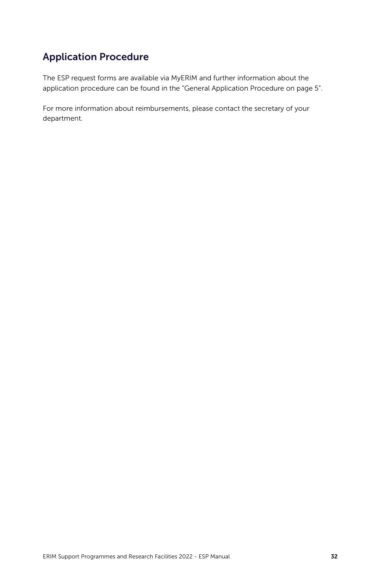### Application Procedure

The ESP request forms are available via MyERIM and further information about the application procedure can be found in the "General Application Procedure on page 5".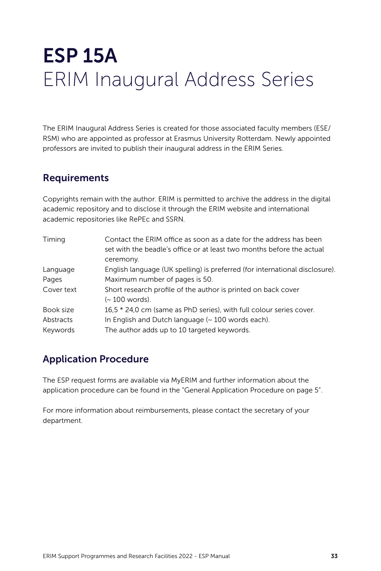# <span id="page-32-0"></span>ESP 15A ERIM Inaugural Address Series

The ERIM Inaugural Address Series is created for those associated faculty members (ESE/ RSM) who are appointed as professor at Erasmus University Rotterdam. Newly appointed professors are invited to publish their inaugural address in the ERIM Series.

#### Requirements

Copyrights remain with the author. ERIM is permitted to archive the address in the digital academic repository and to disclose it through the ERIM website and international academic repositories like RePEc and SSRN.

| Timing     | Contact the ERIM office as soon as a date for the address has been<br>set with the beadle's office or at least two months before the actual<br>ceremony. |
|------------|----------------------------------------------------------------------------------------------------------------------------------------------------------|
| Language   | English language (UK spelling) is preferred (for international disclosure).                                                                              |
| Pages      | Maximum number of pages is 50.                                                                                                                           |
| Cover text | Short research profile of the author is printed on back cover<br>(~ 100 words).                                                                          |
| Book size  | 16,5 * 24,0 cm (same as PhD series), with full colour series cover.                                                                                      |
| Abstracts  | In English and Dutch language (~ 100 words each).                                                                                                        |
| Keywords   | The author adds up to 10 targeted keywords.                                                                                                              |

### Application Procedure

The ESP request forms are available via MyERIM and further information about the application procedure can be found in the "General Application Procedure on page 5".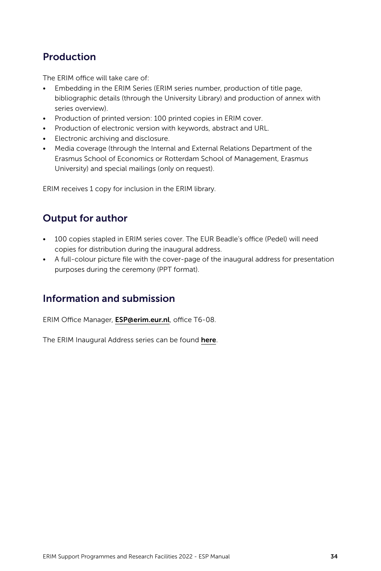#### Production

The ERIM office will take care of:

- Embedding in the ERIM Series (ERIM series number, production of title page, bibliographic details (through the University Library) and production of annex with series overview).
- Production of printed version: 100 printed copies in ERIM cover.
- Production of electronic version with keywords, abstract and URL.
- Electronic archiving and disclosure.
- Media coverage (through the Internal and External Relations Department of the Erasmus School of Economics or Rotterdam School of Management, Erasmus University) and special mailings (only on request).

ERIM receives 1 copy for inclusion in the ERIM library.

#### Output for author

- 100 copies stapled in ERIM series cover. The EUR Beadle's office (Pedel) will need copies for distribution during the inaugural address.
- A full-colour picture file with the cover-page of the inaugural address for presentation purposes during the ceremony (PPT format).

#### Information and submission

ERIM Office Manager, [ESP@erim.eur.nl](mailto:ESP%40erim.eur.nl?subject=), office T6-08.

The ERIM Inaugural Address series can be found [here](https://repub.eur.nl/col/3/).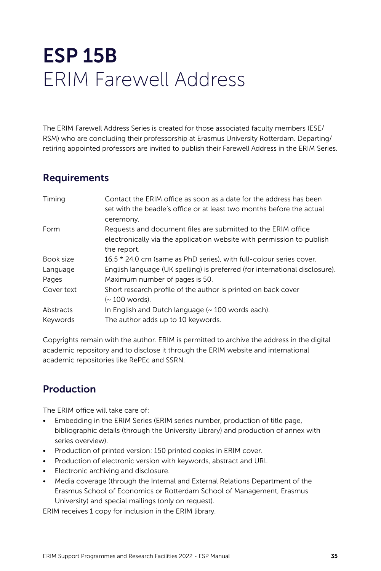# <span id="page-34-0"></span>ESP 15B ERIM Farewell Address

The ERIM Farewell Address Series is created for those associated faculty members (ESE/ RSM) who are concluding their professorship at Erasmus University Rotterdam. Departing/ retiring appointed professors are invited to publish their Farewell Address in the ERIM Series.

#### Requirements

| Timing     | Contact the ERIM office as soon as a date for the address has been<br>set with the beadle's office or at least two months before the actual |
|------------|---------------------------------------------------------------------------------------------------------------------------------------------|
|            | ceremony.                                                                                                                                   |
| Form       | Requests and document files are submitted to the ERIM office                                                                                |
|            | electronically via the application website with permission to publish                                                                       |
|            | the report.                                                                                                                                 |
| Book size  | 16.5 * 24.0 cm (same as PhD series), with full-colour series cover.                                                                         |
| Language   | English language (UK spelling) is preferred (for international disclosure).                                                                 |
| Pages      | Maximum number of pages is 50.                                                                                                              |
| Cover text | Short research profile of the author is printed on back cover                                                                               |
|            | (~ 100 words).                                                                                                                              |
| Abstracts  | In English and Dutch language $($ $\sim$ 100 words each).                                                                                   |
| Keywords   | The author adds up to 10 keywords.                                                                                                          |

Copyrights remain with the author. ERIM is permitted to archive the address in the digital academic repository and to disclose it through the ERIM website and international academic repositories like RePEc and SSRN.

### Production

The ERIM office will take care of:

- Embedding in the ERIM Series (ERIM series number, production of title page, bibliographic details (through the University Library) and production of annex with series overview).
- Production of printed version: 150 printed copies in ERIM cover.
- Production of electronic version with keywords, abstract and URL
- Electronic archiving and disclosure.
- Media coverage (through the Internal and External Relations Department of the Erasmus School of Economics or Rotterdam School of Management, Erasmus University) and special mailings (only on request).

ERIM receives 1 copy for inclusion in the ERIM library.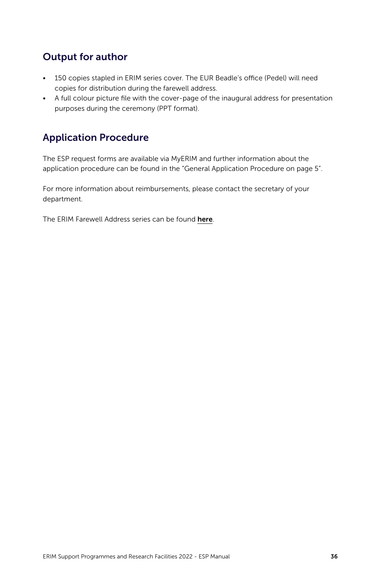### Output for author

- 150 copies stapled in ERIM series cover. The EUR Beadle's office (Pedel) will need copies for distribution during the farewell address.
- A full colour picture file with the cover-page of the inaugural address for presentation purposes during the ceremony (PPT format).

### Application Procedure

The ESP request forms are available via MyERIM and further information about the application procedure can be found in the "General Application Procedure on page 5".

For more information about reimbursements, please contact the secretary of your department.

The ERIM Farewell Address series can be found [here](https://repub.eur.nl/#facet=type:farewellLecture;facet=host_series_label:ERIM%20Inaugural%20Address%20Series%20Research%20in%20Management|ERIM%20Farewell%20Address%20Series%20Research%20in%20Management).